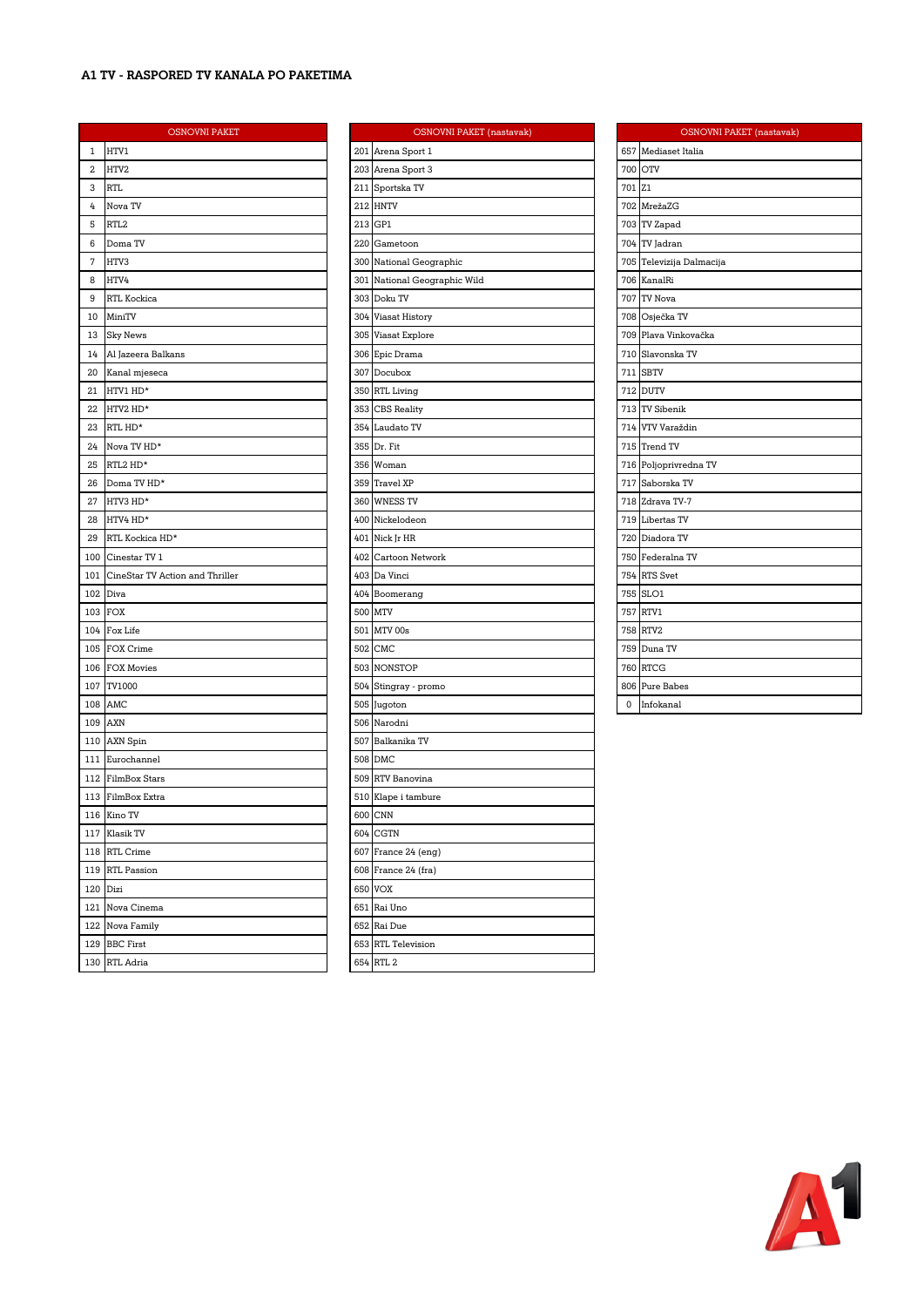### **A1 TV - RASPORED TV KANALA PO PAKETIMA**

|     | <b>OSNOVNI PAKET</b>            |     | OSNO                |
|-----|---------------------------------|-----|---------------------|
| 1   | HTV1                            |     | 201 Arena Sport 1   |
| 2   | HTV2                            |     | 203 Arena Sport 3   |
| 3   | RTL                             |     | 211 Sportska TV     |
| 4   | Nova TV                         |     | 212 HNTV            |
| 5   | RTL2                            |     | 213 GP1             |
| 6   | Doma TV                         |     | 220 Gametoon        |
| 7   | HTV3                            |     | 300 National Geogra |
| 8   | HTV4                            |     | 301 National Geogra |
| 9   | RTL Kockica                     |     | 303 Doku TV         |
| 10  | MiniTV                          |     | 304 Viasat History  |
| 13  | <b>Sky News</b>                 |     | 305 Viasat Explore  |
| 14  | Al Jazeera Balkans              |     | 306 Epic Drama      |
| 20  | Kanal mjeseca                   |     | 307 Docubox         |
| 21  | HTV1 HD*                        |     | 350 RTL Living      |
| 22  | HTV2 HD*                        |     | 353 CBS Reality     |
| 23  | RTL HD*                         |     | 354 Laudato TV      |
| 24  | Nova TV HD*                     |     | 355 Dr. Fit         |
| 25  | RTL2 HD*                        |     | 356 Woman           |
| 26  | Doma TV HD*                     |     | 359 Travel XP       |
| 27  | HTV3 HD*                        |     | 360 WNESS TV        |
| 28  | HTV4 HD*                        |     | 400 Nickelodeon     |
| 29  | RTL Kockica HD*                 |     | 401 Nick Jr HR      |
| 100 | Cinestar TV 1                   |     | 402 Cartoon Networ  |
| 101 | CineStar TV Action and Thriller |     | 403 Da Vinci        |
| 102 | Diva                            |     | 404 Boomerang       |
| 103 | <b>FOX</b>                      |     | 500 MTV             |
| 104 | Fox Life                        |     | 501 MTV 00s         |
| 105 | FOX Crime                       |     | 502 CMC             |
| 106 | <b>FOX Movies</b>               |     | 503 NONSTOP         |
| 107 | TV1000                          |     | 504 Stingray - prom |
| 108 | AMC                             |     | 505 Jugoton         |
| 109 | AXN                             |     | 506 Narodni         |
|     | 110 AXN Spin                    |     | 507 Balkanika TV    |
| 111 | Eurochannel                     |     | 508 DMC             |
|     | 112 FilmBox Stars               |     | 509 RTV Banovina    |
|     | 113 FilmBox Extra               |     | 510 Klape i tambure |
|     | 116 Kino TV                     |     | 600 CNN             |
| 117 | Klasik TV                       |     | 604 CGTN            |
| 118 | RTL Crime                       |     | 607 France 24 (eng) |
| 119 | RTL Passion                     |     | 608 France 24 (fra) |
| 120 | Dizi                            | 650 | <b>VOX</b>          |
| 121 | Nova Cinema                     |     | 651   Rai Uno       |
| 122 | Nova Family                     | 652 | Rai Due             |
| 129 | <b>BBC</b> First                | 653 | RTL Television      |
| 130 | RTL Adria                       | 654 | RTL 2               |

|              | <b>OSNOVNI PAKET</b>                |     | <b>OSNOVNI PAKET</b> (nastavak) |        | <b>OSNOVNI PAKET</b> (nastavak) |
|--------------|-------------------------------------|-----|---------------------------------|--------|---------------------------------|
| $\mathbf{1}$ | HTV1                                |     | 201 Arena Sport 1               |        | 657 Mediaset Italia             |
| $\,2$        | HTV2                                |     | 203 Arena Sport 3               |        | 700 OTV                         |
| 3            | RTL                                 |     | 211 Sportska TV                 | 701 Z1 |                                 |
| 4            | Nova TV                             |     | 212 HNTV                        |        | 702 MrežaZG                     |
| 5            | RTL <sub>2</sub>                    |     | 213 GP1                         |        | 703 TV Zapad                    |
| 6            | Doma TV                             | 220 | Gametoon                        |        | 704 TV Jadran                   |
| 7            | HTV3                                |     | 300 National Geographic         |        | 705 Televizija Dalmacija        |
| 8            | HTV4                                |     | 301 National Geographic Wild    |        | 706 KanalRi                     |
| 9            | <b>RTL Kockica</b>                  |     | 303 Doku TV                     |        | 707 TV Nova                     |
| 10           | MiniTV                              |     | 304 Viasat History              |        | 708 Osječka TV                  |
| 13           | Sky News                            |     | 305 Viasat Explore              |        | 709 Plava Vinkovačka            |
| 14           | Al Jazeera Balkans                  |     | 306 Epic Drama                  |        | 710 Slavonska TV                |
| 20           | Kanal mjeseca                       |     | 307 Docubox                     |        | 711 SBTV                        |
| 21           | HTV1 HD*                            |     | 350 RTL Living                  |        | 712 DUTV                        |
| 22           | HTV2 HD*                            |     | 353 CBS Reality                 |        | 713 TV Sibenik                  |
| 23           | RTL HD*                             |     | 354 Laudato TV                  |        | 714 VTV Varaždin                |
| 24           | Nova TV HD*                         |     | 355 Dr. Fit                     |        | 715 Trend TV                    |
| 25           | RTL2 HD*                            |     | 356 Woman                       |        | 716 Poljoprivredna TV           |
| 26           | Doma TV HD*                         |     | 359 Travel XP                   |        | 717 Saborska TV                 |
| 27           | HTV3 HD*                            |     | 360 WNESS TV                    |        | 718 Zdrava TV-7                 |
| 28           | HTV4 HD*                            |     | 400 Nickelodeon                 |        | 719 Libertas TV                 |
| 29           | RTL Kockica HD*                     |     | 401 Nick Jr HR                  |        | 720 Diadora TV                  |
|              | 100 Cinestar TV 1                   |     | 402 Cartoon Network             |        | 750 Federalna TV                |
|              | 101 CineStar TV Action and Thriller |     | 403 Da Vinci                    |        | 754 RTS Svet                    |
|              | 102 Diva                            |     | 404 Boomerang                   |        | 755 SLO1                        |
|              | 103 FOX                             |     | 500 MTV                         |        | 757 RTV1                        |
|              | 104 Fox Life                        |     | 501 MTV 00s                     |        | 758 RTV2                        |
|              | 105 FOX Crime                       |     | 502 CMC                         |        | 759 Duna TV                     |
|              | 106 FOX Movies                      |     | 503 NONSTOP                     |        | <b>760 RTCG</b>                 |
|              | 107 TV1000                          |     | 504 Stingray - promo            |        | 806 Pure Babes                  |
|              | 108 AMC                             |     | 505 Jugoton                     | 0      | Infokanal                       |
|              | 109 AXN                             |     | 506 Narodni                     |        |                                 |
|              | 110 AXN Spin                        |     | 507 Balkanika TV                |        |                                 |
|              | 111 Eurochannel                     |     | 508 DMC                         |        |                                 |
|              | 112 FilmBox Stars                   |     | 509 RTV Banovina                |        |                                 |
|              | 113 FilmBox Extra                   |     | 510 Klape i tambure             |        |                                 |
|              | 116 Kino TV                         |     | 600 CNN                         |        |                                 |
|              | 117 Klasik TV                       |     | 604 CGTN                        |        |                                 |
|              | 118 RTL Crime                       |     | 607 France 24 (eng)             |        |                                 |
|              | 119 RTL Passion                     |     | 608 France 24 (fra)             |        |                                 |
|              | 120 Dizi                            |     | 650 VOX                         |        |                                 |
|              | 121 Nova Cinema                     |     | 651 Rai Uno                     |        |                                 |
|              | 122 Nova Family                     |     | 652 Rai Due                     |        |                                 |
|              | 129 BBC First                       |     | 653 RTL Television              |        |                                 |
|              | 130 RTL Adria                       |     | 654 RTL 2                       |        |                                 |

|     | <b>OSNOVNI PAKET</b> (nastavak) |
|-----|---------------------------------|
| 657 | Mediaset Italia                 |
|     | 700 OTV                         |
| 701 | Z <sub>1</sub>                  |
|     | 702 MrežaZG                     |
|     | 703 TV Zapad                    |
|     | 704 TV Jadran                   |
| 705 | Televizija Dalmacija            |
| 706 | KanalRi                         |
| 707 | <b>TV Nova</b>                  |
|     | 708 Osječka TV                  |
|     | 709 Plava Vinkovačka            |
|     | 710 Slavonska TV                |
|     | 711 SBTV                        |
|     | 712 DUTV                        |
|     | 713 TV Sibenik                  |
|     | 714 VTV Varaždin                |
|     | 715 Trend TV                    |
|     | 716 Poljoprivredna TV           |
| 717 | Saborska TV                     |
| 718 | Zdrava TV-7                     |
|     | 719 Libertas TV                 |
|     | 720 Diadora TV                  |
|     | 750 Federalna TV                |
|     | 754 RTS Svet                    |
|     | 755 SLO1                        |
| 757 | RTV1                            |
|     | 758 RTV2                        |
|     | 759 Duna TV                     |
|     | <b>760 RTCG</b>                 |
|     | 806 Pure Babes                  |
| 0   | Infokanal                       |

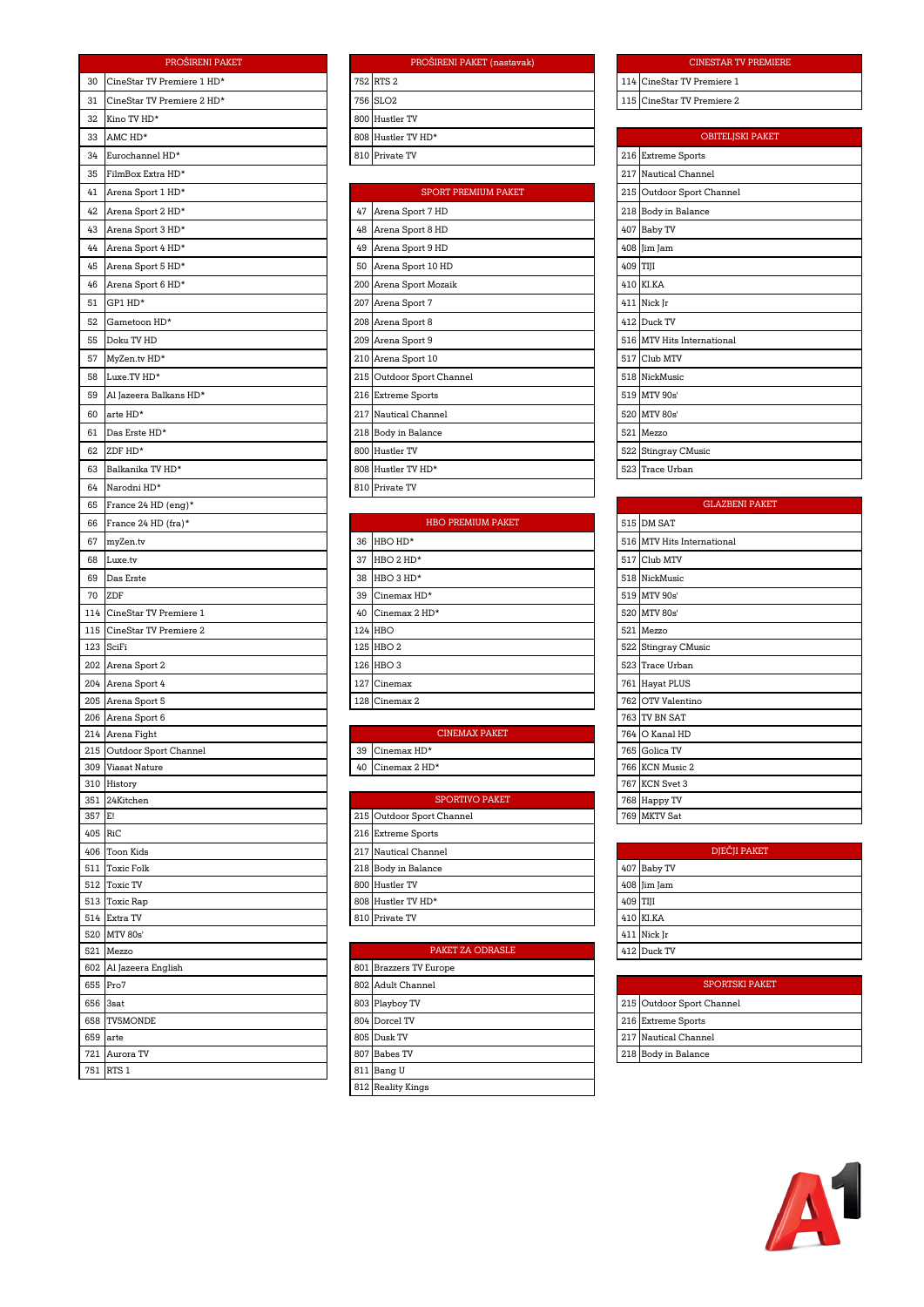|         | PROŠIRENI PAKET                  |    | PROŠIRENI PAKET (nastavak)                |     | <b>CINESTART</b>                  |
|---------|----------------------------------|----|-------------------------------------------|-----|-----------------------------------|
| 30      | CineStar TV Premiere 1 HD*       |    | 752 RTS 2                                 | 114 | CineStar TV Premiere 1            |
| 31      | CineStar TV Premiere 2 HD*       |    | 756 SLO <sub>2</sub>                      |     | 115 CineStar TV Premiere 2        |
| 32      | Kino TV HD*                      |    | 800 Hustler TV                            |     |                                   |
| 33      | AMC HD*                          |    | 808 Hustler TV HD*                        |     | <b>OBITELJS</b>                   |
| 34      | Eurochannel HD*                  |    | 810 Private TV                            |     | 216 Extreme Sports                |
| 35      | FilmBox Extra HD*                |    |                                           |     | 217 Nautical Channel              |
| 41      | Arena Sport 1 HD*                |    | SPORT PREMIUM PAKET                       |     | 215 Outdoor Sport Channel         |
| 42      | Arena Sport 2 HD*                | 47 | Arena Sport 7 HD                          |     | 218 Body in Balance               |
| 43      | Arena Sport 3 HD*                |    | 48 Arena Sport 8 HD                       |     | 407 Baby TV                       |
| 44      | Arena Sport 4 HD*                |    | 49 Arena Sport 9 HD                       |     | 408 Jim Jam                       |
| 45      | Arena Sport 5 HD*                |    | 50 Arena Sport 10 HD                      |     | 409 TIJI                          |
| 46      | Arena Sport 6 HD*                |    | 200 Arena Sport Mozaik                    |     | 410 KI.KA                         |
| 51      | GP1 HD*                          |    | 207 Arena Sport 7                         |     | 411 Nick Jr                       |
| 52      | Gametoon HD*                     |    | 208 Arena Sport 8                         |     | 412 Duck TV                       |
| 55      | Doku TV HD                       |    | 209 Arena Sport 9                         |     | 516 MTV Hits International        |
| 57      | MyZen.tv HD*                     |    | 210 Arena Sport 10                        |     | 517 Club MTV                      |
| 58      | Luxe.TV HD*                      |    | 215 Outdoor Sport Channel                 |     | 518 NickMusic                     |
| 59      | Al Jazeera Balkans HD*           |    | 216 Extreme Sports                        |     | 519 MTV 90s'                      |
| 60      | arte HD*                         |    | 217 Nautical Channel                      |     | 520 MTV 80s'                      |
| 61      | Das Erste HD*                    |    | 218 Body in Balance                       |     | 521 Mezzo                         |
| 62      | ZDF HD*                          |    | 800 Hustler TV                            |     | 522 Stingray CMusic               |
| 63      | Balkanika TV HD*                 |    | 808 Hustler TV HD*                        |     | 523 Trace Urban                   |
| 64      | Narodni HD*                      |    | 810 Private TV                            |     |                                   |
| 65      | France 24 HD (eng)*              |    |                                           |     | GLAZBE                            |
| 66      | France 24 HD (fra)*              |    | HBO PREMIUM PAKET                         |     | 515 DM SAT                        |
| 67      | myZen.tv                         | 36 | HBO HD*                                   |     | 516 MTV Hits International        |
| 68      | Luxe.tv                          | 37 | HBO 2 HD*                                 |     | 517 Club MTV                      |
| 69      | Das Erste                        | 38 | HBO 3 HD*                                 |     | 518 NickMusic                     |
| 70      | ZDF                              | 39 | Cinemax HD*                               |     | 519 MTV 90s'                      |
| 114     | CineStar TV Premiere 1           | 40 | Cinemax 2 HD*                             |     | 520 MTV 80s'                      |
| 115     | CineStar TV Premiere 2           |    | 124 HBO                                   | 521 | Mezzo                             |
|         | 123 SciFi                        |    | 125 HBO 2                                 |     | 522 Stingray CMusic               |
|         | 202 Arena Sport 2                |    | 126 HBO 3                                 |     | 523 Trace Urban                   |
|         | 204 Arena Sport 4                |    | 127 Cinemax                               |     | 761 Hayat PLUS                    |
| 205     | Arena Sport 5                    |    | 128 Cinemax 2                             | 762 | OTV Valentino                     |
| 206     | Arena Sport 6                    |    |                                           | 763 | TV BN SAT                         |
|         | 214 Arena Fight                  |    | <b>CINEMAX PAKET</b><br>$C$ inemax $HD^*$ | 764 | O Kanal HD                        |
|         | 215 Outdoor Sport Channel        | 39 |                                           |     | 765 Golica TV                     |
|         | 309 Viasat Nature<br>310 History | 40 | Cinemax 2 HD*                             |     | 766 KCN Music 2<br>767 KCN Svet 3 |
|         | 351 24Kitchen                    |    | SPORTIVO PAKET                            |     | 768 Happy TV                      |
| 357     | E!                               |    | 215 Outdoor Sport Channel                 |     | 769 MKTV Sat                      |
| 405 RiC |                                  |    | 216 Extreme Sports                        |     |                                   |
|         | 406 Toon Kids                    |    | 217 Nautical Channel                      |     | DJEČJI                            |
| 511     | <b>Toxic Folk</b>                |    | 218 Body in Balance                       |     | 407 Baby TV                       |
| 512     | <b>Toxic TV</b>                  |    | 800 Hustler TV                            |     | 408 Jim Jam                       |
|         | 513 Toxic Rap                    |    | 808 Hustler TV HD*                        |     | 409 TIJI                          |
|         | 514 Extra TV                     |    | 810 Private TV                            |     | 410 KI.KA                         |
| 521     | 520 MTV 80s'<br>Mezzo            |    | PAKET ZA ODRASLE                          |     | 411 Nick Jr<br>412 Duck TV        |
|         | 602 Al Jazeera English           |    | 801 Brazzers TV Europe                    |     |                                   |
|         | 655 Pro7                         |    | 802 Adult Channel                         |     | <b>SPORTS</b>                     |
| 656     | 3sat                             |    | 803 Playboy TV                            | 215 | Outdoor Sport Channel             |
| 658     | <b>TV5MONDE</b>                  |    | 804 Dorcel TV                             |     | 216 Extreme Sports                |
|         | 659 arte                         |    | 805 Dusk TV                               |     | 217 Nautical Channel              |
| 721     | Aurora TV                        |    | 807 Babes TV                              |     | 218 Body in Balance               |
|         | 751 RTS 1                        |    | 811 Bang U                                |     |                                   |

| PROŠIRENI PAKET (nastavak) |  |  |
|----------------------------|--|--|
| 752 RTS 2                  |  |  |
| 756 SLO <sub>2</sub>       |  |  |
| 800 Hustler TV             |  |  |
| 808 Hustler TV HD*         |  |  |
| 810 Private TV             |  |  |
|                            |  |  |

|     | <b>SPORT PREMIUM PAKET</b> |
|-----|----------------------------|
| 47  | Arena Sport 7 HD           |
| 48  | Arena Sport 8 HD           |
| 49  | Arena Sport 9 HD           |
| 50  | Arena Sport 10 HD          |
|     | 200 Arena Sport Mozaik     |
| 207 | Arena Sport 7              |
|     | 208 Arena Sport 8          |
|     | 209 Arena Sport 9          |
|     | 210 Arena Sport 10         |
|     | 215 Outdoor Sport Channel  |
|     | 216 Extreme Sports         |
|     | 217 Nautical Channel       |
|     | 218 Body in Balance        |
| 800 | Hustler TV                 |
|     | 808 Hustler TV HD*         |
|     | 810 Private TV             |
|     |                            |

|     | <b>HBO PREMIUM PAKET</b> |
|-----|--------------------------|
| 36  | HBO HD*                  |
| 37  | HBO 2 HD*                |
| 38  | HBO 3 HD*                |
| 39  | Cinemax HD*              |
| 40  | Cinemax 2 HD*            |
|     | 124 HBO                  |
|     | 125 HBO 2                |
| 126 | HBO <sub>3</sub>         |
| 127 | Cinemax                  |
|     | 128 Cinemax 2            |
|     |                          |

| <b>SPORTIVO PAKET</b>     |  |  |
|---------------------------|--|--|
| 215 Outdoor Sport Channel |  |  |
| 216 Extreme Sports        |  |  |
| 217 Nautical Channel      |  |  |
| 218 Body in Balance       |  |  |
| 800 Hustler TV            |  |  |
| 808 Hustler TV HD*        |  |  |
| 810 Private TV            |  |  |

|     | PAKET ZA ODRASLE       |
|-----|------------------------|
|     | 801 Brazzers TV Europe |
|     | 802 Adult Channel      |
|     | 803 Playboy TV         |
|     | 804 Dorcel TV          |
|     | 805 Dusk TV            |
|     | 807 Babes TV           |
| 811 | Bang U                 |
|     | 812 Reality Kings      |

### CINESTAR TV PREMIERE

| 115 CineStar TV Premiere 2 |
|----------------------------|
|                            |
| <b>OBITELISKI PAKET</b>    |
| 216 Extreme Sports         |
| 217 Nautical Channel       |
| 215 Outdoor Sport Channel  |
| 218 Body in Balance        |
| 407 Baby TV                |
| 408 Jim Jam                |
| 409 TIJI                   |
| 410 KI.KA                  |
| 411 Nick Jr                |
| 412 Duck TV                |
| 516 MTV Hits International |
| 517 Club MTV               |
| 518 NickMusic              |
| 519 MTV 90s'               |
| 520 MTV 80s'               |
| 521 Mezzo                  |
| 522 Stingray CMusic        |
| 523 Trace Urban            |

|     | <b>GLAZBENI PAKET</b>      |  |  |
|-----|----------------------------|--|--|
| 515 | DM SAT                     |  |  |
|     | 516 MTV Hits International |  |  |
|     | 517 Club MTV               |  |  |
|     | 518 NickMusic              |  |  |
|     | 519 MTV 90s'               |  |  |
| 520 | <b>MTV 80s'</b>            |  |  |
| 521 | Mezzo                      |  |  |
|     | 522 Stingray CMusic        |  |  |
| 523 | Trace Urban                |  |  |
| 761 | <b>Hayat PLUS</b>          |  |  |
|     | 762 OTV Valentino          |  |  |
| 763 | TV BN SAT                  |  |  |
|     | 764 O Kanal HD             |  |  |
|     | 765 Golica TV              |  |  |
|     | 766 KCN Music 2            |  |  |
|     | 767 KCN Svet 3             |  |  |
|     | 768 Happy TV               |  |  |
|     | 769 MKTV Sat               |  |  |

|          | DJEČJI PAKET |
|----------|--------------|
|          | 407 Baby TV  |
|          | 408 Jim Jam  |
| 409 TIJI |              |
|          | 410 KI.KA    |
|          | 411 Nick Jr  |
|          | 412 Duck TV  |

| <b>SPORTSKI PAKET</b> |                           |  |  |  |
|-----------------------|---------------------------|--|--|--|
|                       | 215 Outdoor Sport Channel |  |  |  |
|                       | 216 Extreme Sports        |  |  |  |
|                       | 217 Nautical Channel      |  |  |  |
|                       | 218 Body in Balance       |  |  |  |